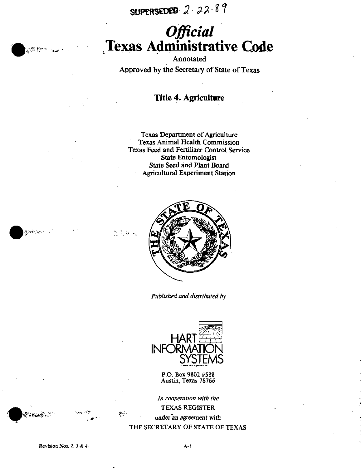SUPERSEDED 2 2289

# **Official** Texas Administrative Code

Annotated Approved by the Secretary of State of Texas

**Title 4. Agriculture** 

**Texas Department of Agriculture Texas Animal Health Commission** Texas Feed and Fertilizer Control Service **State Entomologist State Seed and Plant Board Agricultural Experiment Station** 



 $\mathcal{L}=\frac{1}{2}$  . The  $\mathcal{L}=\frac{1}{2}$ 

 $\frac{1}{2} \frac{1}{2}$ 

Published and distributed by



P.O. Box 9802 #588 Austin, Texas 78766

In cooperation with the **TEXAS REGISTER** under an agreement with THE SECRETARY OF STATE OF TEXAS

أربيان فاجتزع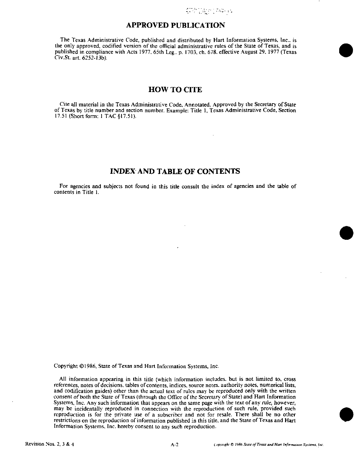#### APPROVED PUBLICATION

The Texas Administrative Code, published and distributed by Hart Information Systems, Inc., is the only approved, codified version of the official administrative rules of the State of Texas, and is published in compliance with Acts 1977. 65th Leg., p. 1703, ch. 678. effective August 29. 1977 (Texas Civ.Sl. an. 6252-l3b).

#### HOW TO CITE

Cite all material in ihe Texas Administrative Code. Annotated, Approved by the Secretary of Slate of Texas by title number and section number. Example: Title 1, Texas Administrative Code, Section 17.51 (Short form: 1 TAC §17.51).

#### INDEX AND TABLE OF CONTENTS

For agencies and subjects not found in this title consult the index of agencies and the table of contents in Title 1.

Copyright ©1986, State of Texas and Hart Information Systems, Inc.

All informaiion appearing in this title (which information includes, but is not limited to. cross references, notes of decisions, tables of contents. Indices, source notes, authority notes, numerical lists, and codification guides) other than the actual text of rules may be reproduced only with the written consent of both the State of Texas (through the Office of the Secretary of State) and Hart Information Systems, Inc. Any such information that appears on the same page with the text of any rule, however, may be incidentally reproduced in connection with the reproduction of such rule, provided such reproduction is for the private use of a subscriber and not for resale. There shall be no other restrictions on the reproduction of information published in this title, and the State of Texas and Hart Information Systems, Inc. hereby consent to any such reproduction.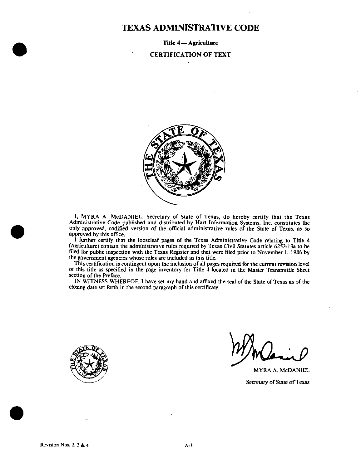### TEXAS ADMINISTRATIVE CODE

Title 4—Agriculture

#### CERTIFICATION OF TEXT



I, MYRA A. McDANIEL, Secretary of State of Texas, do hereby certify that the Texas Administrative Code published and distributed by Hart Information Systems, Inc. constitutes the only approved, codified version of the officiaJ administrative rules of the State of Texas, as so approved by this office.

I further certify that the looseleaf pages of the Texas Administrative Code relating to Title 4 (Agriculture) contain the administrative rules required by Texas Civil Statutes article 6252-13a to be filed for public inspection with the Texas Register and thai were filed prior to November 1, 1986 by the government agencies whose rules are included in this title.

This certification is contingent upon the inclusion of all pages required for the current revision level of this title as specified in the page inventory for Title 4 located in the Master Transmittle Sheet section of the Preface.

IN WITNESS WHEREOF, I have set my hand and affixed the seal of the State of Texas as of the closing date set forth in the second paragraph of this certificate.



MYRA A. McDANIEL Secretary of State of Texas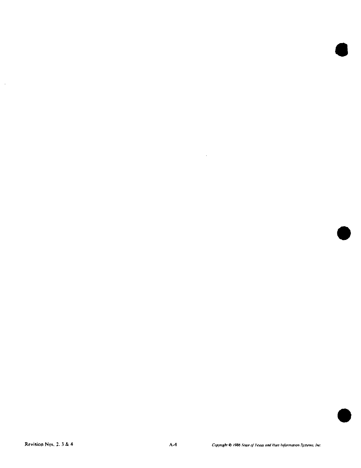Revision Nos. 2.3 & 4

 $\mathbf{r}$ 

 $\mathcal{L}^{\pm}$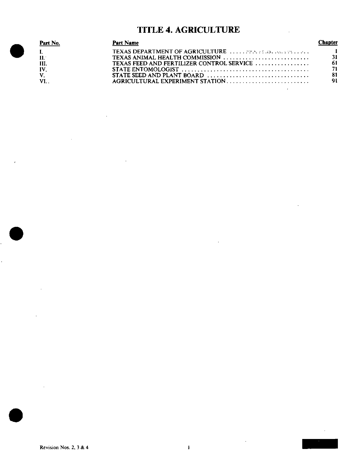## TFTLE 4. AGRICULTURE

| Part No. | Part Name                                                                                                       |     |
|----------|-----------------------------------------------------------------------------------------------------------------|-----|
|          | <b>TEXAS DEPARTMENT OF AGRICULTURE</b> 277. 21.13. 2012 COLLECTION                                              |     |
| $\Pi$ .  |                                                                                                                 | 31  |
| III.     |                                                                                                                 | -61 |
| IV       | STATE ENTOMOLOGIST $\ldots \ldots \ldots \ldots \ldots \ldots \ldots \ldots \ldots \ldots \ldots \ldots \ldots$ | 71. |
|          | STATE SEED AND PLANT BOARD                                                                                      | 81  |
|          | AGRICULTURAL EXPERIMENT STATION                                                                                 | 91  |
|          |                                                                                                                 |     |